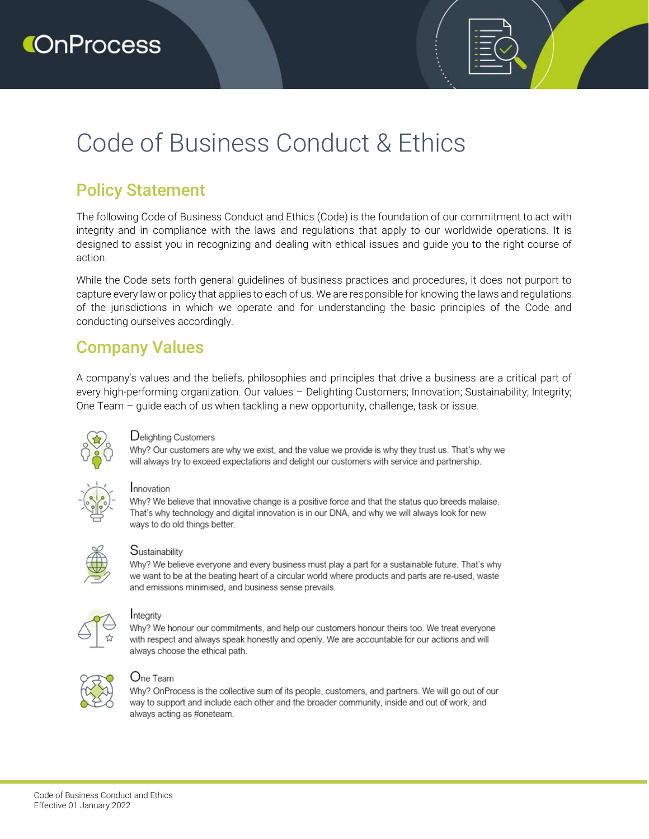# Code of Business Conduct & Ethics

# Policy Statement

The following Code of Business Conduct and Ethics (Code) is the foundation of our commitment to act with integrity and in compliance with the laws and regulations that apply to our worldwide operations. It is designed to assist you in recognizing and dealing with ethical issues and guide you to the right course of action.

While the Code sets forth general guidelines of business practices and procedures, it does not purport to capture every law or policy that applies to each of us. We are responsible for knowing the laws and regulations of the jurisdictions in which we operate and for understanding the basic principles of the Code and conducting ourselves accordingly.

## Company Values

A company's values and the beliefs, philosophies and principles that drive a business are a critical part of every high-performing organization. Our values – Delighting Customers; Innovation; Sustainability; Integrity; One Team – guide each of us when tackling a new opportunity, challenge, task or issue.



#### Delighting Customers

Why? Our customers are why we exist, and the value we provide is why they trust us. That's why we will always try to exceed expectations and delight our customers with service and partnership.



#### Innovation

Why? We believe that innovative change is a positive force and that the status quo breeds malaise. That's why technology and digital innovation is in our DNA, and why we will always look for new ways to do old things better.



#### Sustainability

Why? We believe everyone and every business must play a part for a sustainable future. That's why we want to be at the beating heart of a circular world where products and parts are re-used, waste and emissions minimised, and business sense prevails.



#### Integrity

Why? We honour our commitments, and help our customers honour theirs too. We treat everyone with respect and always speak honestly and openly. We are accountable for our actions and will always choose the ethical path.



#### One Team

Why? OnProcess is the collective sum of its people, customers, and partners. We will go out of our way to support and include each other and the broader community, inside and out of work, and always acting as #oneteam.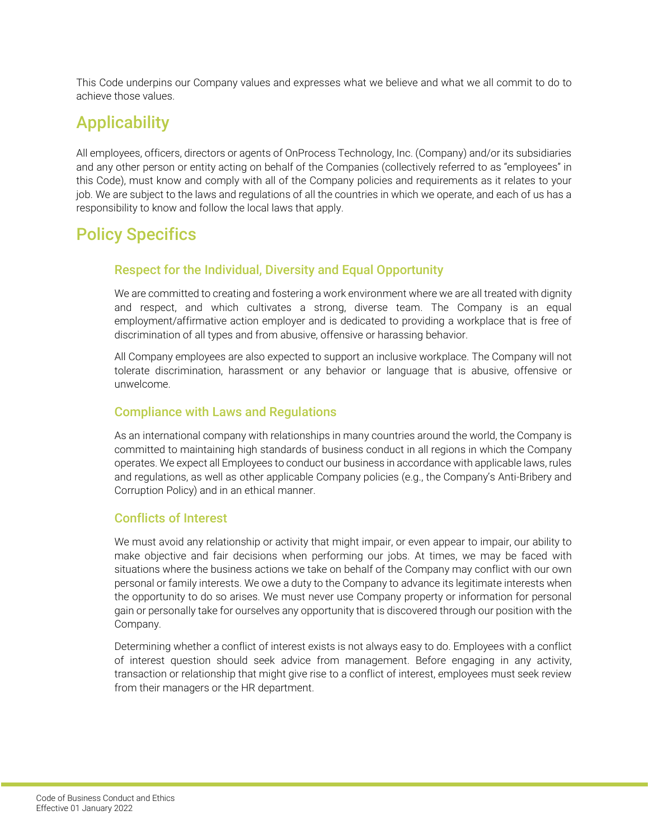This Code underpins our Company values and expresses what we believe and what we all commit to do to achieve those values.

# **Applicability**

All employees, officers, directors or agents of OnProcess Technology, Inc. (Company) and/or its subsidiaries and any other person or entity acting on behalf of the Companies (collectively referred to as "employees" in this Code), must know and comply with all of the Company policies and requirements as it relates to your job. We are subject to the laws and regulations of all the countries in which we operate, and each of us has a responsibility to know and follow the local laws that apply.

# Policy Specifics

## Respect for the Individual, Diversity and Equal Opportunity

We are committed to creating and fostering a work environment where we are all treated with dignity and respect, and which cultivates a strong, diverse team. The Company is an equal employment/affirmative action employer and is dedicated to providing a workplace that is free of discrimination of all types and from abusive, offensive or harassing behavior.

All Company employees are also expected to support an inclusive workplace. The Company will not tolerate discrimination, harassment or any behavior or language that is abusive, offensive or unwelcome.

## Compliance with Laws and Regulations

As an international company with relationships in many countries around the world, the Company is committed to maintaining high standards of business conduct in all regions in which the Company operates. We expect all Employees to conduct our business in accordance with applicable laws, rules and regulations, as well as other applicable Company policies (e.g., the Company's Anti-Bribery and Corruption Policy) and in an ethical manner.

## Conflicts of Interest

We must avoid any relationship or activity that might impair, or even appear to impair, our ability to make objective and fair decisions when performing our jobs. At times, we may be faced with situations where the business actions we take on behalf of the Company may conflict with our own personal or family interests. We owe a duty to the Company to advance its legitimate interests when the opportunity to do so arises. We must never use Company property or information for personal gain or personally take for ourselves any opportunity that is discovered through our position with the Company.

Determining whether a conflict of interest exists is not always easy to do. Employees with a conflict of interest question should seek advice from management. Before engaging in any activity, transaction or relationship that might give rise to a conflict of interest, employees must seek review from their managers or the HR department.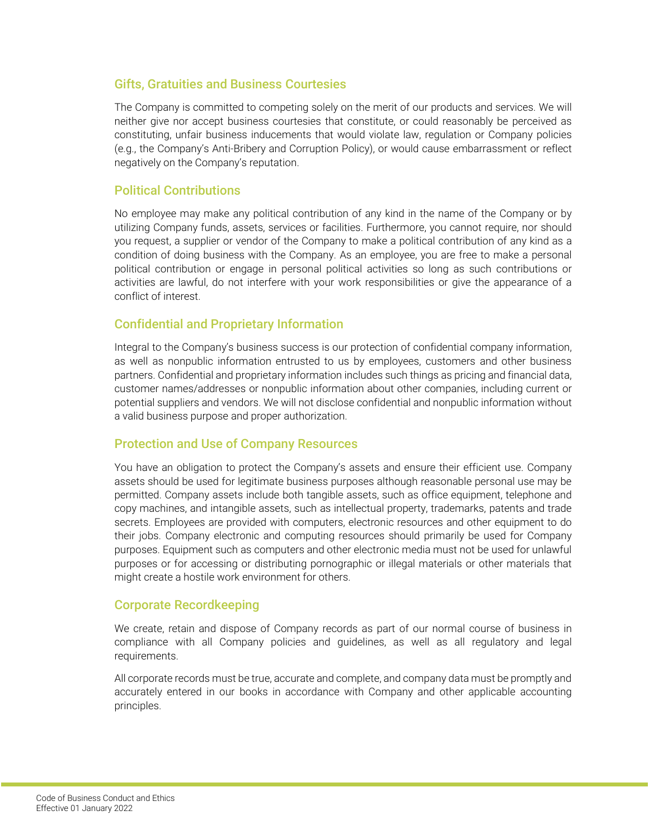#### Gifts, Gratuities and Business Courtesies

The Company is committed to competing solely on the merit of our products and services. We will neither give nor accept business courtesies that constitute, or could reasonably be perceived as constituting, unfair business inducements that would violate law, regulation or Company policies (e.g., the Company's Anti-Bribery and Corruption Policy), or would cause embarrassment or reflect negatively on the Company's reputation.

#### Political Contributions

No employee may make any political contribution of any kind in the name of the Company or by utilizing Company funds, assets, services or facilities. Furthermore, you cannot require, nor should you request, a supplier or vendor of the Company to make a political contribution of any kind as a condition of doing business with the Company. As an employee, you are free to make a personal political contribution or engage in personal political activities so long as such contributions or activities are lawful, do not interfere with your work responsibilities or give the appearance of a conflict of interest.

## Confidential and Proprietary Information

Integral to the Company's business success is our protection of confidential company information, as well as nonpublic information entrusted to us by employees, customers and other business partners. Confidential and proprietary information includes such things as pricing and financial data, customer names/addresses or nonpublic information about other companies, including current or potential suppliers and vendors. We will not disclose confidential and nonpublic information without a valid business purpose and proper authorization.

#### Protection and Use of Company Resources

You have an obligation to protect the Company's assets and ensure their efficient use. Company assets should be used for legitimate business purposes although reasonable personal use may be permitted. Company assets include both tangible assets, such as office equipment, telephone and copy machines, and intangible assets, such as intellectual property, trademarks, patents and trade secrets. Employees are provided with computers, electronic resources and other equipment to do their jobs. Company electronic and computing resources should primarily be used for Company purposes. Equipment such as computers and other electronic media must not be used for unlawful purposes or for accessing or distributing pornographic or illegal materials or other materials that might create a hostile work environment for others.

#### Corporate Recordkeeping

We create, retain and dispose of Company records as part of our normal course of business in compliance with all Company policies and guidelines, as well as all regulatory and legal requirements.

All corporate records must be true, accurate and complete, and company data must be promptly and accurately entered in our books in accordance with Company and other applicable accounting principles.